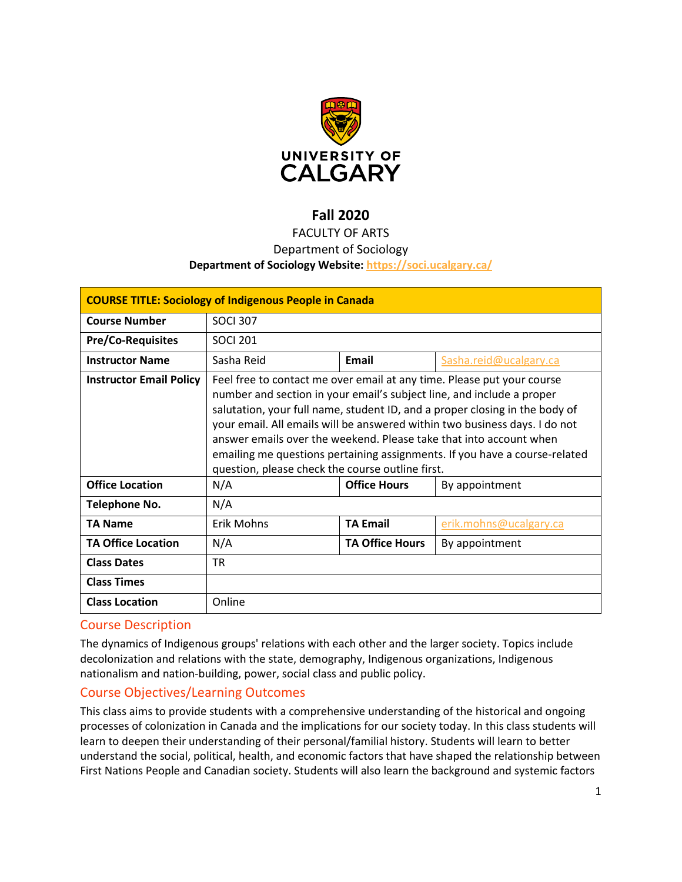

# **Fall 2020**

# FACULTY OF ARTS

### Department of Sociology

#### **Department of Sociology Website:<https://soci.ucalgary.ca/>**

| <b>COURSE TITLE: Sociology of Indigenous People in Canada</b> |                                                                                                                                                                                                                                                                                                                                                                                                                                                                                                                      |                        |                        |  |
|---------------------------------------------------------------|----------------------------------------------------------------------------------------------------------------------------------------------------------------------------------------------------------------------------------------------------------------------------------------------------------------------------------------------------------------------------------------------------------------------------------------------------------------------------------------------------------------------|------------------------|------------------------|--|
| <b>Course Number</b>                                          | <b>SOCI 307</b>                                                                                                                                                                                                                                                                                                                                                                                                                                                                                                      |                        |                        |  |
| <b>Pre/Co-Requisites</b>                                      | <b>SOCI 201</b>                                                                                                                                                                                                                                                                                                                                                                                                                                                                                                      |                        |                        |  |
| <b>Instructor Name</b>                                        | Sasha Reid                                                                                                                                                                                                                                                                                                                                                                                                                                                                                                           | <b>Email</b>           | Sasha.reid@ucalgary.ca |  |
| <b>Instructor Email Policy</b>                                | Feel free to contact me over email at any time. Please put your course<br>number and section in your email's subject line, and include a proper<br>salutation, your full name, student ID, and a proper closing in the body of<br>your email. All emails will be answered within two business days. I do not<br>answer emails over the weekend. Please take that into account when<br>emailing me questions pertaining assignments. If you have a course-related<br>question, please check the course outline first. |                        |                        |  |
| <b>Office Location</b>                                        | N/A                                                                                                                                                                                                                                                                                                                                                                                                                                                                                                                  | <b>Office Hours</b>    | By appointment         |  |
| <b>Telephone No.</b>                                          | N/A                                                                                                                                                                                                                                                                                                                                                                                                                                                                                                                  |                        |                        |  |
| <b>TA Name</b>                                                | <b>Erik Mohns</b>                                                                                                                                                                                                                                                                                                                                                                                                                                                                                                    | <b>TA Email</b>        | erik.mohns@ucalgary.ca |  |
| <b>TA Office Location</b>                                     | N/A                                                                                                                                                                                                                                                                                                                                                                                                                                                                                                                  | <b>TA Office Hours</b> | By appointment         |  |
| <b>Class Dates</b>                                            | <b>TR</b>                                                                                                                                                                                                                                                                                                                                                                                                                                                                                                            |                        |                        |  |
| <b>Class Times</b>                                            |                                                                                                                                                                                                                                                                                                                                                                                                                                                                                                                      |                        |                        |  |
| <b>Class Location</b>                                         | Online                                                                                                                                                                                                                                                                                                                                                                                                                                                                                                               |                        |                        |  |

### Course Description

The dynamics of Indigenous groups' relations with each other and the larger society. Topics include decolonization and relations with the state, demography, Indigenous organizations, Indigenous nationalism and nation-building, power, social class and public policy.

### Course Objectives/Learning Outcomes

This class aims to provide students with a comprehensive understanding of the historical and ongoing processes of colonization in Canada and the implications for our society today. In this class students will learn to deepen their understanding of their personal/familial history. Students will learn to better understand the social, political, health, and economic factors that have shaped the relationship between First Nations People and Canadian society. Students will also learn the background and systemic factors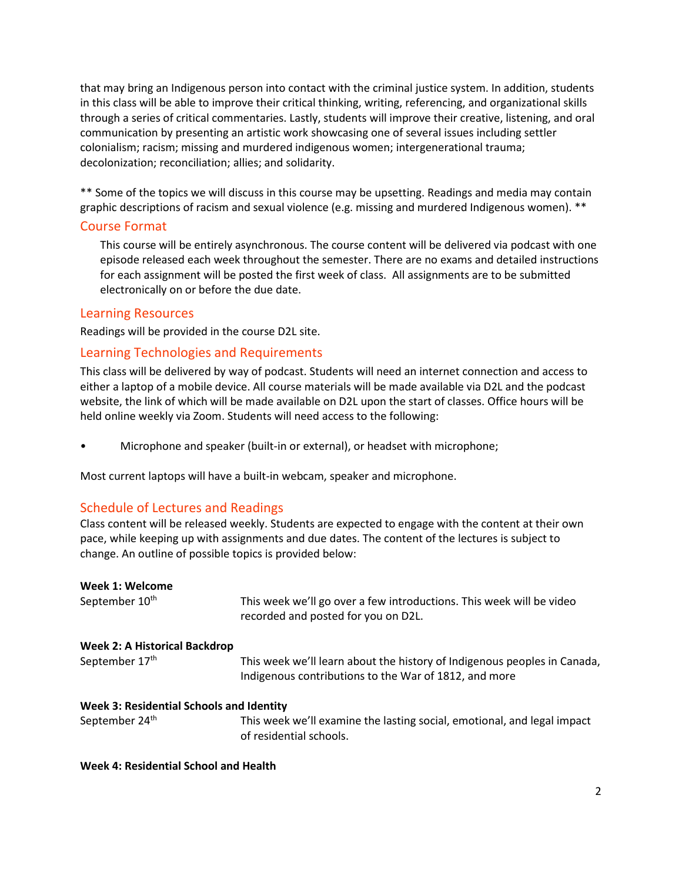that may bring an Indigenous person into contact with the criminal justice system. In addition, students in this class will be able to improve their critical thinking, writing, referencing, and organizational skills through a series of critical commentaries. Lastly, students will improve their creative, listening, and oral communication by presenting an artistic work showcasing one of several issues including settler colonialism; racism; missing and murdered indigenous women; intergenerational trauma; decolonization; reconciliation; allies; and solidarity.

\*\* Some of the topics we will discuss in this course may be upsetting. Readings and media may contain graphic descriptions of racism and sexual violence (e.g. missing and murdered Indigenous women). \*\*

#### Course Format

This course will be entirely asynchronous. The course content will be delivered via podcast with one episode released each week throughout the semester. There are no exams and detailed instructions for each assignment will be posted the first week of class. All assignments are to be submitted electronically on or before the due date.

#### Learning Resources

Readings will be provided in the course D2L site.

#### Learning Technologies and Requirements

This class will be delivered by way of podcast. Students will need an internet connection and access to either a laptop of a mobile device. All course materials will be made available via D2L and the podcast website, the link of which will be made available on D2L upon the start of classes. Office hours will be held online weekly via Zoom. Students will need access to the following:

• Microphone and speaker (built-in or external), or headset with microphone;

Most current laptops will have a built-in webcam, speaker and microphone.

#### Schedule of Lectures and Readings

Class content will be released weekly. Students are expected to engage with the content at their own pace, while keeping up with assignments and due dates. The content of the lectures is subject to change. An outline of possible topics is provided below:

|  | Week 1: Welcome |
|--|-----------------|
|--|-----------------|

| September 10 <sup>th</sup>               | This week we'll go over a few introductions. This week will be video<br>recorded and posted for you on D2L.                       |  |
|------------------------------------------|-----------------------------------------------------------------------------------------------------------------------------------|--|
| <b>Week 2: A Historical Backdrop</b>     |                                                                                                                                   |  |
| September 17th                           | This week we'll learn about the history of Indigenous peoples in Canada,<br>Indigenous contributions to the War of 1812, and more |  |
| Week 3: Residential Schools and Identity |                                                                                                                                   |  |
| September 24 <sup>th</sup>               | This week we'll examine the lasting social, emotional, and legal impact                                                           |  |

of residential schools.

#### **Week 4: Residential School and Health**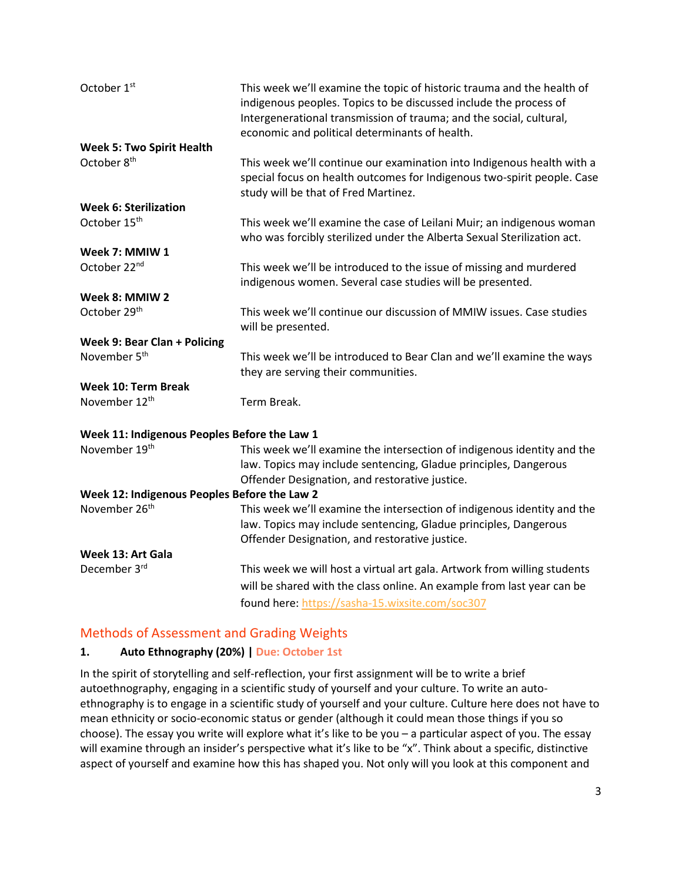| October 1 <sup>st</sup>                      | This week we'll examine the topic of historic trauma and the health of<br>indigenous peoples. Topics to be discussed include the process of<br>Intergenerational transmission of trauma; and the social, cultural,<br>economic and political determinants of health. |
|----------------------------------------------|----------------------------------------------------------------------------------------------------------------------------------------------------------------------------------------------------------------------------------------------------------------------|
| <b>Week 5: Two Spirit Health</b>             |                                                                                                                                                                                                                                                                      |
| October 8 <sup>th</sup>                      | This week we'll continue our examination into Indigenous health with a<br>special focus on health outcomes for Indigenous two-spirit people. Case<br>study will be that of Fred Martinez.                                                                            |
| <b>Week 6: Sterilization</b>                 |                                                                                                                                                                                                                                                                      |
| October 15 <sup>th</sup>                     | This week we'll examine the case of Leilani Muir; an indigenous woman<br>who was forcibly sterilized under the Alberta Sexual Sterilization act.                                                                                                                     |
| Week 7: MMIW 1                               |                                                                                                                                                                                                                                                                      |
| October 22nd                                 | This week we'll be introduced to the issue of missing and murdered<br>indigenous women. Several case studies will be presented.                                                                                                                                      |
| Week 8: MMIW 2                               |                                                                                                                                                                                                                                                                      |
| October 29 <sup>th</sup>                     | This week we'll continue our discussion of MMIW issues. Case studies<br>will be presented.                                                                                                                                                                           |
| Week 9: Bear Clan + Policing                 |                                                                                                                                                                                                                                                                      |
| November 5 <sup>th</sup>                     | This week we'll be introduced to Bear Clan and we'll examine the ways<br>they are serving their communities.                                                                                                                                                         |
| <b>Week 10: Term Break</b>                   |                                                                                                                                                                                                                                                                      |
| November 12 <sup>th</sup>                    | Term Break.                                                                                                                                                                                                                                                          |
| Week 11: Indigenous Peoples Before the Law 1 |                                                                                                                                                                                                                                                                      |
| November 19th                                | This week we'll examine the intersection of indigenous identity and the<br>law. Topics may include sentencing, Gladue principles, Dangerous<br>Offender Designation, and restorative justice.                                                                        |
| Week 12: Indigenous Peoples Before the Law 2 |                                                                                                                                                                                                                                                                      |
| November 26 <sup>th</sup>                    | This week we'll examine the intersection of indigenous identity and the<br>law. Topics may include sentencing, Gladue principles, Dangerous<br>Offender Designation, and restorative justice.                                                                        |
| Week 13: Art Gala                            |                                                                                                                                                                                                                                                                      |
| December 3rd                                 | This week we will host a virtual art gala. Artwork from willing students                                                                                                                                                                                             |
|                                              | will be shared with the class online. An example from last year can be                                                                                                                                                                                               |
|                                              | found here: https://sasha-15.wixsite.com/soc307                                                                                                                                                                                                                      |

## Methods of Assessment and Grading Weights

### **1. Auto Ethnography (20%) | Due: October 1st**

In the spirit of storytelling and self-reflection, your first assignment will be to write a brief autoethnography, engaging in a scientific study of yourself and your culture. To write an autoethnography is to engage in a scientific study of yourself and your culture. Culture here does not have to mean ethnicity or socio-economic status or gender (although it could mean those things if you so choose). The essay you write will explore what it's like to be you – a particular aspect of you. The essay will examine through an insider's perspective what it's like to be "x". Think about a specific, distinctive aspect of yourself and examine how this has shaped you. Not only will you look at this component and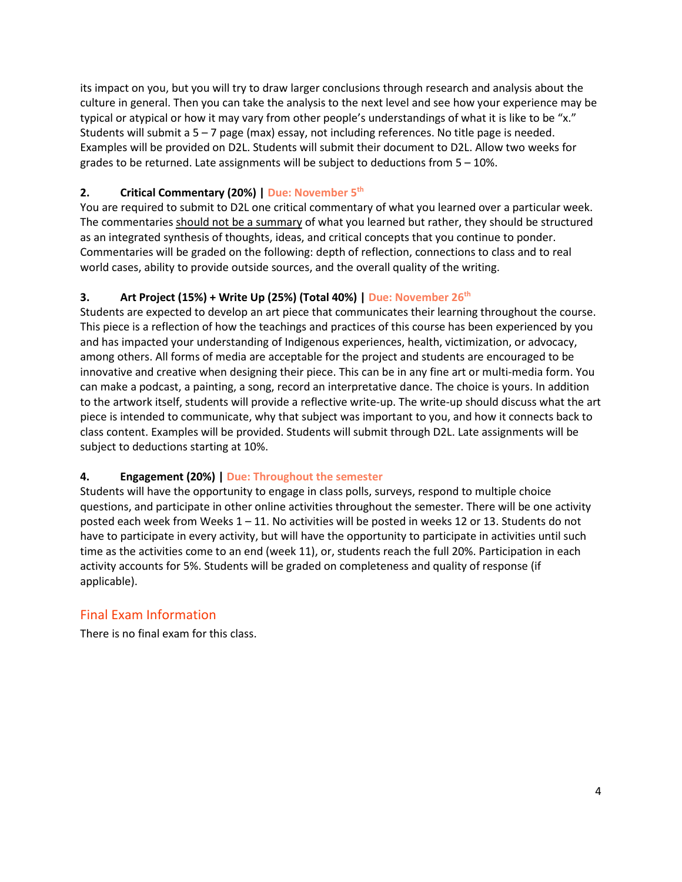its impact on you, but you will try to draw larger conclusions through research and analysis about the culture in general. Then you can take the analysis to the next level and see how your experience may be typical or atypical or how it may vary from other people's understandings of what it is like to be "x." Students will submit a 5 – 7 page (max) essay, not including references. No title page is needed. Examples will be provided on D2L. Students will submit their document to D2L. Allow two weeks for grades to be returned. Late assignments will be subject to deductions from  $5 - 10\%$ .

### **2. Critical Commentary (20%) | Due: November 5th**

You are required to submit to D2L one critical commentary of what you learned over a particular week. The commentaries should not be a summary of what you learned but rather, they should be structured as an integrated synthesis of thoughts, ideas, and critical concepts that you continue to ponder. Commentaries will be graded on the following: depth of reflection, connections to class and to real world cases, ability to provide outside sources, and the overall quality of the writing.

### **3. Art Project (15%) + Write Up (25%) (Total 40%) | Due: November 26th**

Students are expected to develop an art piece that communicates their learning throughout the course. This piece is a reflection of how the teachings and practices of this course has been experienced by you and has impacted your understanding of Indigenous experiences, health, victimization, or advocacy, among others. All forms of media are acceptable for the project and students are encouraged to be innovative and creative when designing their piece. This can be in any fine art or multi-media form. You can make a podcast, a painting, a song, record an interpretative dance. The choice is yours. In addition to the artwork itself, students will provide a reflective write-up. The write-up should discuss what the art piece is intended to communicate, why that subject was important to you, and how it connects back to class content. Examples will be provided. Students will submit through D2L. Late assignments will be subject to deductions starting at 10%.

### **4. Engagement (20%) | Due: Throughout the semester**

Students will have the opportunity to engage in class polls, surveys, respond to multiple choice questions, and participate in other online activities throughout the semester. There will be one activity posted each week from Weeks 1 – 11. No activities will be posted in weeks 12 or 13. Students do not have to participate in every activity, but will have the opportunity to participate in activities until such time as the activities come to an end (week 11), or, students reach the full 20%. Participation in each activity accounts for 5%. Students will be graded on completeness and quality of response (if applicable).

### Final Exam Information

There is no final exam for this class.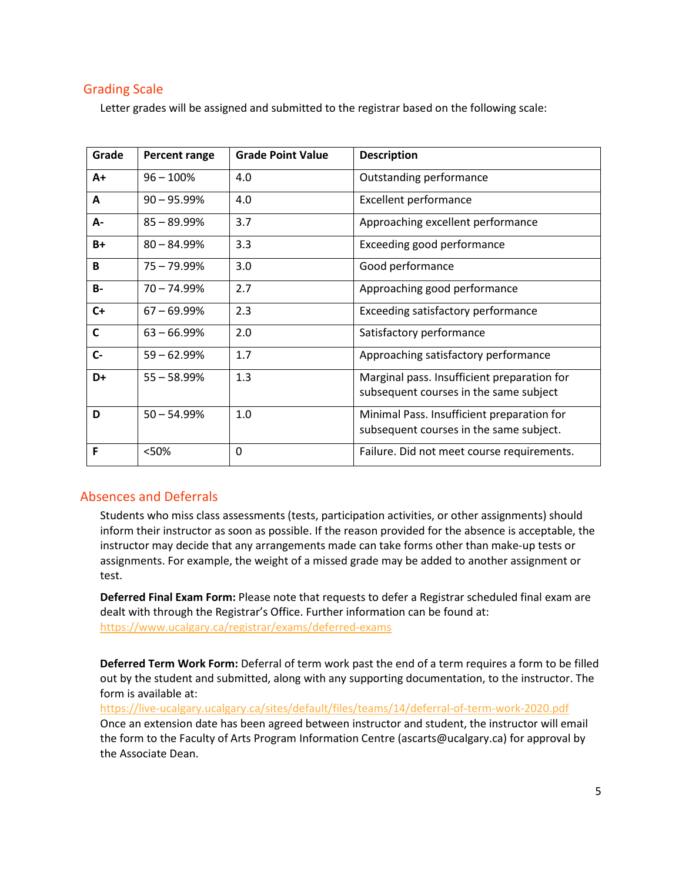### Grading Scale

Letter grades will be assigned and submitted to the registrar based on the following scale:

| Grade        | Percent range  | <b>Grade Point Value</b> | <b>Description</b>                                                                    |
|--------------|----------------|--------------------------|---------------------------------------------------------------------------------------|
| $A+$         | $96 - 100%$    | 4.0                      | Outstanding performance                                                               |
| A            | $90 - 95.99\%$ | 4.0                      | <b>Excellent performance</b>                                                          |
| А-           | $85 - 89.99%$  | 3.7                      | Approaching excellent performance                                                     |
| $B+$         | $80 - 84.99\%$ | 3.3                      | Exceeding good performance                                                            |
| B            | 75 - 79.99%    | 3.0                      | Good performance                                                                      |
| <b>B-</b>    | $70 - 74.99%$  | 2.7                      | Approaching good performance                                                          |
| $C+$         | $67 - 69.99%$  | 2.3                      | Exceeding satisfactory performance                                                    |
| $\mathsf{C}$ | $63 - 66.99%$  | 2.0                      | Satisfactory performance                                                              |
| $C -$        | $59 - 62.99%$  | 1.7                      | Approaching satisfactory performance                                                  |
| D+           | $55 - 58.99%$  | 1.3                      | Marginal pass. Insufficient preparation for<br>subsequent courses in the same subject |
| D            | $50 - 54.99%$  | 1.0                      | Minimal Pass. Insufficient preparation for<br>subsequent courses in the same subject. |
| F            | <50%           | 0                        | Failure. Did not meet course requirements.                                            |

### Absences and Deferrals

Students who miss class assessments (tests, participation activities, or other assignments) should inform their instructor as soon as possible. If the reason provided for the absence is acceptable, the instructor may decide that any arrangements made can take forms other than make-up tests or assignments. For example, the weight of a missed grade may be added to another assignment or test.

**Deferred Final Exam Form:** Please note that requests to defer a Registrar scheduled final exam are dealt with through the Registrar's Office. Further information can be found at: <https://www.ucalgary.ca/registrar/exams/deferred-exams>

**Deferred Term Work Form:** Deferral of term work past the end of a term requires a form to be filled out by the student and submitted, along with any supporting documentation, to the instructor. The form is available at:

<https://live-ucalgary.ucalgary.ca/sites/default/files/teams/14/deferral-of-term-work-2020.pdf> Once an extension date has been agreed between instructor and student, the instructor will email the form to the Faculty of Arts Program Information Centre (ascarts@ucalgary.ca) for approval by the Associate Dean.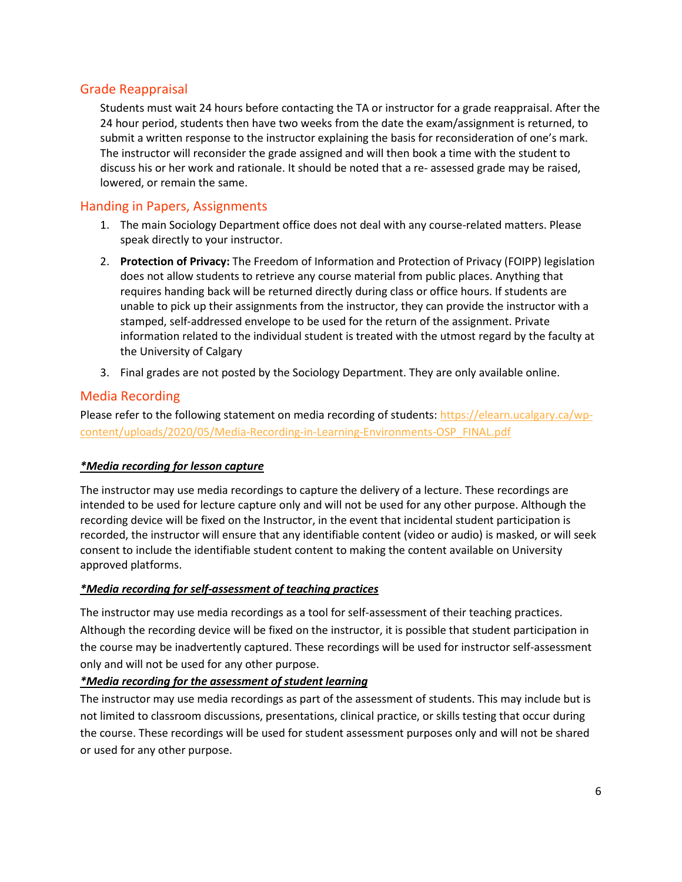### Grade Reappraisal

Students must wait 24 hours before contacting the TA or instructor for a grade reappraisal. After the 24 hour period, students then have two weeks from the date the exam/assignment is returned, to submit a written response to the instructor explaining the basis for reconsideration of one's mark. The instructor will reconsider the grade assigned and will then book a time with the student to discuss his or her work and rationale. It should be noted that a re- assessed grade may be raised, lowered, or remain the same.

### Handing in Papers, Assignments

- 1. The main Sociology Department office does not deal with any course-related matters. Please speak directly to your instructor.
- 2. **Protection of Privacy:** The Freedom of Information and Protection of Privacy (FOIPP) legislation does not allow students to retrieve any course material from public places. Anything that requires handing back will be returned directly during class or office hours. If students are unable to pick up their assignments from the instructor, they can provide the instructor with a stamped, self-addressed envelope to be used for the return of the assignment. Private information related to the individual student is treated with the utmost regard by the faculty at the University of Calgary
- 3. Final grades are not posted by the Sociology Department. They are only available online.

### Media Recording

Please refer to the following statement on media recording of students: [https://elearn.ucalgary.ca/wp](https://elearn.ucalgary.ca/wp-content/uploads/2020/05/Media-Recording-in-Learning-Environments-OSP_FINAL.pdf)[content/uploads/2020/05/Media-Recording-in-Learning-Environments-OSP\\_FINAL.pdf](https://elearn.ucalgary.ca/wp-content/uploads/2020/05/Media-Recording-in-Learning-Environments-OSP_FINAL.pdf)

### *\*Media recording for lesson capture*

The instructor may use media recordings to capture the delivery of a lecture. These recordings are intended to be used for lecture capture only and will not be used for any other purpose. Although the recording device will be fixed on the Instructor, in the event that incidental student participation is recorded, the instructor will ensure that any identifiable content (video or audio) is masked, or will seek consent to include the identifiable student content to making the content available on University approved platforms.

#### *\*Media recording for self-assessment of teaching practices*

The instructor may use media recordings as a tool for self-assessment of their teaching practices. Although the recording device will be fixed on the instructor, it is possible that student participation in the course may be inadvertently captured. These recordings will be used for instructor self-assessment only and will not be used for any other purpose.

#### *\*Media recording for the assessment of student learning*

The instructor may use media recordings as part of the assessment of students. This may include but is not limited to classroom discussions, presentations, clinical practice, or skills testing that occur during the course. These recordings will be used for student assessment purposes only and will not be shared or used for any other purpose.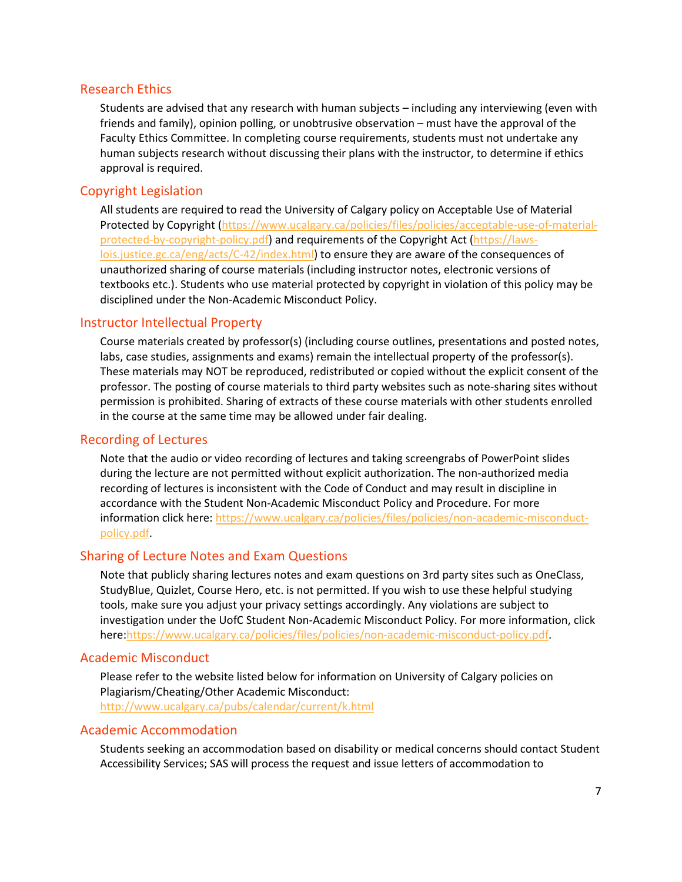#### Research Ethics

Students are advised that any research with human subjects – including any interviewing (even with friends and family), opinion polling, or unobtrusive observation – must have the approval of the Faculty Ethics Committee. In completing course requirements, students must not undertake any human subjects research without discussing their plans with the instructor, to determine if ethics approval is required.

### Copyright Legislation

All students are required to read the University of Calgary policy on Acceptable Use of Material Protected by Copyright [\(https://www.ucalgary.ca/policies/files/policies/acceptable-use-of-material](https://www.ucalgary.ca/policies/files/policies/acceptable-use-of-material-protected-by-copyright-policy.pdf)[protected-by-copyright-policy.pdf\)](https://www.ucalgary.ca/policies/files/policies/acceptable-use-of-material-protected-by-copyright-policy.pdf) and requirements of the Copyright Act [\(https://laws](https://laws-lois.justice.gc.ca/eng/acts/C-42/index.html)[lois.justice.gc.ca/eng/acts/C-42/index.html\)](https://laws-lois.justice.gc.ca/eng/acts/C-42/index.html) to ensure they are aware of the consequences of unauthorized sharing of course materials (including instructor notes, electronic versions of textbooks etc.). Students who use material protected by copyright in violation of this policy may be disciplined under the Non-Academic Misconduct Policy.

### Instructor Intellectual Property

Course materials created by professor(s) (including course outlines, presentations and posted notes, labs, case studies, assignments and exams) remain the intellectual property of the professor(s). These materials may NOT be reproduced, redistributed or copied without the explicit consent of the professor. The posting of course materials to third party websites such as note-sharing sites without permission is prohibited. Sharing of extracts of these course materials with other students enrolled in the course at the same time may be allowed under fair dealing.

#### Recording of Lectures

Note that the audio or video recording of lectures and taking screengrabs of PowerPoint slides during the lecture are not permitted without explicit authorization. The non-authorized media recording of lectures is inconsistent with the Code of Conduct and may result in discipline in accordance with the Student Non-Academic Misconduct Policy and Procedure. For more information click here: [https://www.ucalgary.ca/policies/files/policies/non-academic-misconduct](https://www.ucalgary.ca/policies/files/policies/non-academic-misconduct-policy.pdf)[policy.pdf.](https://www.ucalgary.ca/policies/files/policies/non-academic-misconduct-policy.pdf)

### Sharing of Lecture Notes and Exam Questions

Note that publicly sharing lectures notes and exam questions on 3rd party sites such as OneClass, StudyBlue, Quizlet, Course Hero, etc. is not permitted. If you wish to use these helpful studying tools, make sure you adjust your privacy settings accordingly. Any violations are subject to investigation under the UofC Student Non-Academic Misconduct Policy. For more information, click here[:https://www.ucalgary.ca/policies/files/policies/non-academic-misconduct-policy.pdf.](https://www.ucalgary.ca/policies/files/policies/non-academic-misconduct-policy.pdf)

#### Academic Misconduct

Please refer to the website listed below for information on University of Calgary policies on Plagiarism/Cheating/Other Academic Misconduct: <http://www.ucalgary.ca/pubs/calendar/current/k.html>

#### Academic Accommodation

Students seeking an accommodation based on disability or medical concerns should contact Student Accessibility Services; SAS will process the request and issue letters of accommodation to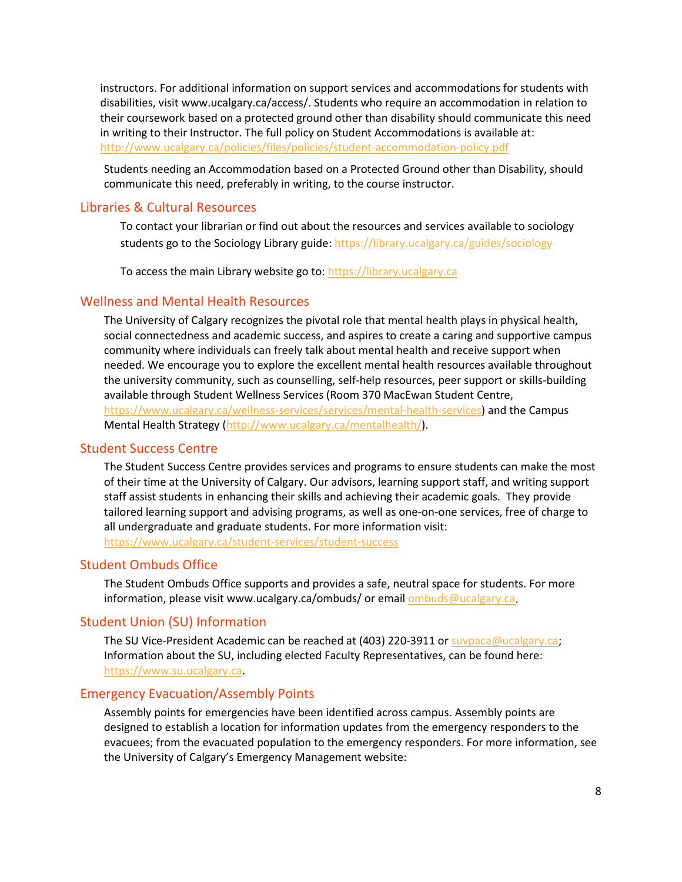instructors. For additional information on support services and accommodations for students with disabilities, visit www.ucalgary.ca/access/. Students who require an accommodation in relation to their coursework based on a protected ground other than disability should communicate this need in writing to their Instructor. The full policy on Student Accommodations is available at: <http://www.ucalgary.ca/policies/files/policies/student-accommodation-policy.pdf>

Students needing an Accommodation based on a Protected Ground other than Disability, should communicate this need, preferably in writing, to the course instructor.

#### Libraries & Cultural Resources

To contact your librarian or find out about the resources and services available to sociology students go to the Sociology Library guide[: https://library.ucalgary.ca/guides/sociology](https://library.ucalgary.ca/guides/sociology)

To access the main Library website go to: [https://library.ucalgary.ca](https://library.ucalgary.ca/)

#### Wellness and Mental Health Resources

The University of Calgary recognizes the pivotal role that mental health plays in physical health, social connectedness and academic success, and aspires to create a caring and supportive campus community where individuals can freely talk about mental health and receive support when needed. We encourage you to explore the excellent mental health resources available throughout the university community, such as counselling, self-help resources, peer support or skills-building available through Student Wellness Services (Room 370 MacEwan Student Centre, [https://www.ucalgary.ca/wellness-services/services/mental-health-services\)](https://www.ucalgary.ca/wellness-services/services/mental-health-services) and the Campus Mental Health Strategy [\(http://www.ucalgary.ca/mentalhealth/\)](http://www.ucalgary.ca/mentalhealth/).

#### Student Success Centre

The Student Success Centre provides services and programs to ensure students can make the most of their time at the University of Calgary. Our advisors, learning support staff, and writing support staff assist students in enhancing their skills and achieving their academic goals. They provide tailored learning support and advising programs, as well as one-on-one services, free of charge to all undergraduate and graduate students. For more information visit: <https://www.ucalgary.ca/student-services/student-success>

#### Student Ombuds Office

The Student Ombuds Office supports and provides a safe, neutral space for students. For more information, please visit www.ucalgary.ca/ombuds/ or emai[l ombuds@ucalgary.ca.](file://trifs1.uc.ucalgary.ca/SOCI/Admin/07_Course%20Outlines/ombuds@ucalgary.ca)

#### Student Union (SU) Information

The SU Vice-President Academic can be reached at (403) 220-3911 or [suvpaca@ucalgary.ca;](file://trifs1.uc.ucalgary.ca/SOCI/Admin/07_Course%20Outlines/suvpaca@ucalgary.ca) Information about the SU, including elected Faculty Representatives, can be found here: [https://www.su.ucalgary.ca.](https://www.su.ucalgary.ca/)

#### Emergency Evacuation/Assembly Points

Assembly points for emergencies have been identified across campus. Assembly points are designed to establish a location for information updates from the emergency responders to the evacuees; from the evacuated population to the emergency responders. For more information, see the University of Calgary's Emergency Management website: